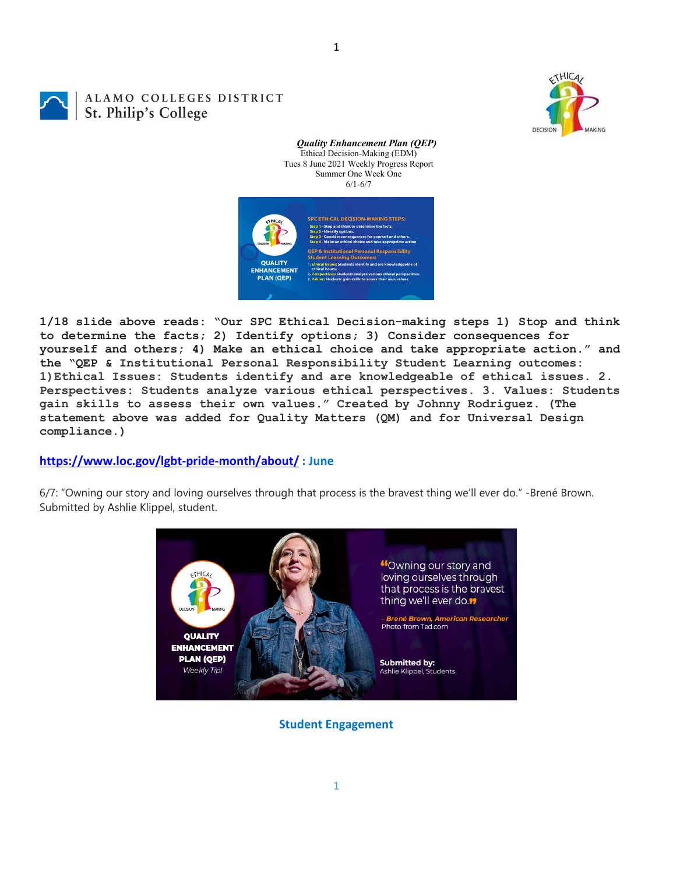ALAMO COLLEGES DISTRICT St. Philip's College



*Quality Enhancement Plan (QEP)* Ethical Decision-Making (EDM) Tues 8 June 2021 Weekly Progress Report Summer One Week One 6/1-6/7



**1/18 slide above reads: "Our SPC Ethical Decision-making steps 1) Stop and think to determine the facts; 2) Identify options; 3) Consider consequences for yourself and others; 4) Make an ethical choice and take appropriate action." and the "QEP & Institutional Personal Responsibility Student Learning outcomes: 1)Ethical Issues: Students identify and are knowledgeable of ethical issues. 2. Perspectives: Students analyze various ethical perspectives. 3. Values: Students gain skills to assess their own values." Created by Johnny Rodriguez. (The statement above was added for Quality Matters (QM) and for Universal Design compliance.)**

## **<https://www.loc.gov/lgbt-pride-month/about/> : June**

6/7: "Owning our story and loving ourselves through that process is the bravest thing we'll ever do." -Brené Brown. Submitted by Ashlie Klippel, student.



**Student Engagement**